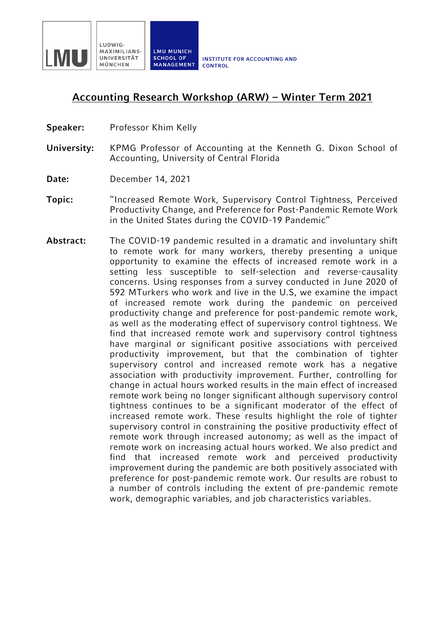

## **Accounting Research Workshop (ARW) – Winter Term 2021**

- **Speaker:** Professor Khim Kelly
- **University:** KPMG Professor of Accounting at the Kenneth G. Dixon School of Accounting, University of Central Florida
- **Date:** December 14, 2021
- **Topic:** "Increased Remote Work, Supervisory Control Tightness, Perceived Productivity Change, and Preference for Post-Pandemic Remote Work in the United States during the COVID-19 Pandemic"
- **Abstract:** The COVID-19 pandemic resulted in a dramatic and involuntary shift to remote work for many workers, thereby presenting a unique opportunity to examine the effects of increased remote work in a setting less susceptible to self-selection and reverse-causality concerns. Using responses from a survey conducted in June 2020 of 592 MTurkers who work and live in the U.S, we examine the impact of increased remote work during the pandemic on perceived productivity change and preference for post-pandemic remote work, as well as the moderating effect of supervisory control tightness. We find that increased remote work and supervisory control tightness have marginal or significant positive associations with perceived productivity improvement, but that the combination of tighter supervisory control and increased remote work has a negative association with productivity improvement. Further, controlling for change in actual hours worked results in the main effect of increased remote work being no longer significant although supervisory control tightness continues to be a significant moderator of the effect of increased remote work. These results highlight the role of tighter supervisory control in constraining the positive productivity effect of remote work through increased autonomy; as well as the impact of remote work on increasing actual hours worked. We also predict and find that increased remote work and perceived productivity improvement during the pandemic are both positively associated with preference for post-pandemic remote work. Our results are robust to a number of controls including the extent of pre-pandemic remote work, demographic variables, and job characteristics variables.